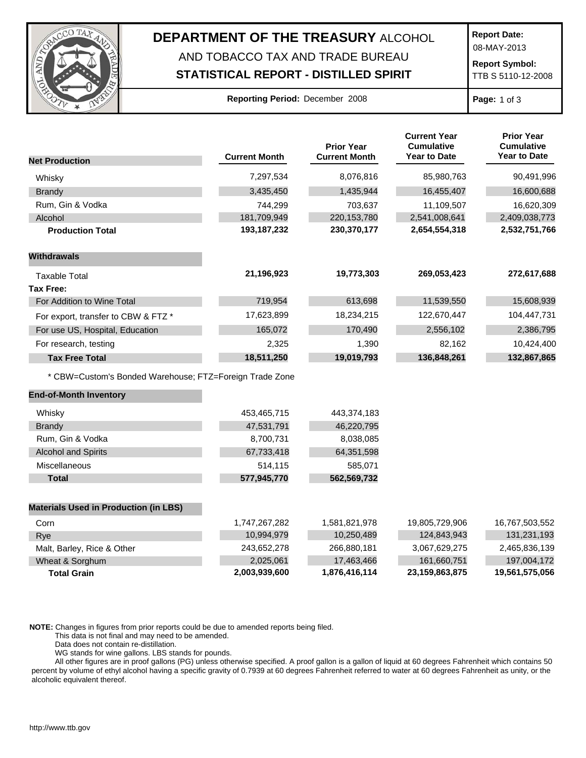

## **DEPARTMENT OF THE TREASURY** ALCOHOL AND TOBACCO TAX AND TRADE BUREAU

## **STATISTICAL REPORT - DISTILLED SPIRIT**

**Report Date:**

08-MAY-2013

**Report Symbol:** TTB S 5110-12-2008

## **Reporting Period:** December 2008 **Page:** 1 of 3

| <b>Net Production</b>                                   | <b>Current Month</b> | <b>Prior Year</b><br><b>Current Month</b> | <b>Current Year</b><br><b>Cumulative</b><br><b>Year to Date</b> | <b>Prior Year</b><br><b>Cumulative</b><br><b>Year to Date</b> |
|---------------------------------------------------------|----------------------|-------------------------------------------|-----------------------------------------------------------------|---------------------------------------------------------------|
|                                                         |                      |                                           |                                                                 |                                                               |
| Whisky                                                  | 7,297,534            | 8,076,816                                 | 85,980,763                                                      | 90,491,996                                                    |
| <b>Brandy</b>                                           | 3,435,450            | 1,435,944                                 | 16,455,407                                                      | 16,600,688                                                    |
| Rum, Gin & Vodka                                        | 744,299              | 703,637                                   | 11,109,507                                                      | 16,620,309                                                    |
| Alcohol                                                 | 181,709,949          | 220, 153, 780                             | 2,541,008,641                                                   | 2,409,038,773                                                 |
| <b>Production Total</b>                                 | 193, 187, 232        | 230,370,177                               | 2,654,554,318                                                   | 2,532,751,766                                                 |
| <b>Withdrawals</b>                                      |                      |                                           |                                                                 |                                                               |
| <b>Taxable Total</b>                                    | 21,196,923           | 19,773,303                                | 269,053,423                                                     | 272,617,688                                                   |
| <b>Tax Free:</b>                                        |                      |                                           |                                                                 |                                                               |
| For Addition to Wine Total                              | 719,954              | 613,698                                   | 11,539,550                                                      | 15,608,939                                                    |
| For export, transfer to CBW & FTZ *                     | 17,623,899           | 18,234,215                                | 122,670,447                                                     | 104,447,731                                                   |
| For use US, Hospital, Education                         | 165,072              | 170,490                                   | 2,556,102                                                       | 2,386,795                                                     |
| For research, testing                                   | 2,325                | 1,390                                     | 82,162                                                          | 10,424,400                                                    |
| <b>Tax Free Total</b>                                   | 18,511,250           | 19,019,793                                | 136,848,261                                                     | 132,867,865                                                   |
| * CBW=Custom's Bonded Warehouse; FTZ=Foreign Trade Zone |                      |                                           |                                                                 |                                                               |
| <b>End-of-Month Inventory</b>                           |                      |                                           |                                                                 |                                                               |
| Whisky                                                  | 453,465,715          | 443,374,183                               |                                                                 |                                                               |
| <b>Brandy</b>                                           | 47,531,791           | 46,220,795                                |                                                                 |                                                               |
| Rum, Gin & Vodka                                        | 8,700,731            | 8,038,085                                 |                                                                 |                                                               |
| <b>Alcohol and Spirits</b>                              | 67,733,418           | 64,351,598                                |                                                                 |                                                               |
| Miscellaneous                                           | 514,115              | 585,071                                   |                                                                 |                                                               |
| <b>Total</b>                                            | 577,945,770          | 562,569,732                               |                                                                 |                                                               |
| <b>Materials Used in Production (in LBS)</b>            |                      |                                           |                                                                 |                                                               |
| Corn                                                    | 1,747,267,282        | 1,581,821,978                             | 19,805,729,906                                                  | 16,767,503,552                                                |
| Rye                                                     | 10,994,979           | 10,250,489                                | 124,843,943                                                     | 131,231,193                                                   |
| Malt, Barley, Rice & Other                              | 243,652,278          | 266,880,181                               | 3,067,629,275                                                   | 2,465,836,139                                                 |
| Wheat & Sorghum                                         | 2,025,061            | 17,463,466                                | 161,660,751                                                     | 197,004,172                                                   |

**Total Grain 2,003,939,600 1,876,416,114 23,159,863,875 19,561,575,056**

**NOTE:** Changes in figures from prior reports could be due to amended reports being filed.

This data is not final and may need to be amended.

Data does not contain re-distillation.

WG stands for wine gallons. LBS stands for pounds.

All other figures are in proof gallons (PG) unless otherwise specified. A proof gallon is a gallon of liquid at 60 degrees Fahrenheit which contains 50 percent by volume of ethyl alcohol having a specific gravity of 0.7939 at 60 degrees Fahrenheit referred to water at 60 degrees Fahrenheit as unity, or the alcoholic equivalent thereof.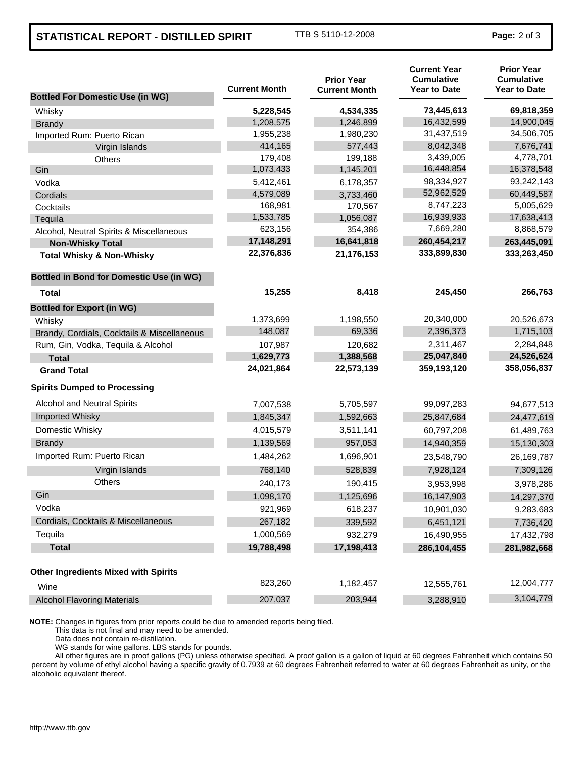## **STATISTICAL REPORT - DISTILLED SPIRIT** TTB S 5110-12-2008 **Page: 2 of 3**

| <b>Bottled For Domestic Use (in WG)</b>         | <b>Current Month</b> | <b>Prior Year</b><br><b>Current Month</b> | <b>Current Year</b><br><b>Cumulative</b><br><b>Year to Date</b> | <b>Prior Year</b><br><b>Cumulative</b><br><b>Year to Date</b> |
|-------------------------------------------------|----------------------|-------------------------------------------|-----------------------------------------------------------------|---------------------------------------------------------------|
| Whisky                                          | 5,228,545            | 4,534,335                                 | 73,445,613                                                      | 69,818,359                                                    |
| <b>Brandy</b>                                   | 1,208,575            | 1,246,899                                 | 16,432,599                                                      | 14,900,045                                                    |
| Imported Rum: Puerto Rican                      | 1,955,238            | 1,980,230                                 | 31,437,519                                                      | 34,506,705                                                    |
| Virgin Islands                                  | 414,165              | 577,443                                   | 8,042,348                                                       | 7,676,741                                                     |
| Others                                          | 179,408              | 199,188                                   | 3,439,005                                                       | 4,778,701                                                     |
| Gin                                             | 1,073,433            | 1,145,201                                 | 16,448,854                                                      | 16,378,548                                                    |
| Vodka                                           | 5,412,461            | 6,178,357                                 | 98,334,927                                                      | 93,242,143                                                    |
| Cordials                                        | 4,579,089            | 3,733,460                                 | 52,962,529                                                      | 60,449,587                                                    |
| Cocktails                                       | 168,981              | 170,567                                   | 8,747,223                                                       | 5,005,629                                                     |
| Tequila                                         | 1,533,785            | 1,056,087                                 | 16,939,933                                                      | 17,638,413                                                    |
| Alcohol, Neutral Spirits & Miscellaneous        | 623,156              | 354,386                                   | 7,669,280                                                       | 8,868,579                                                     |
| <b>Non-Whisky Total</b>                         | 17,148,291           | 16,641,818                                | 260,454,217                                                     | 263,445,091                                                   |
| <b>Total Whisky &amp; Non-Whisky</b>            | 22,376,836           | 21,176,153                                | 333,899,830                                                     | 333,263,450                                                   |
| <b>Bottled in Bond for Domestic Use (in WG)</b> |                      |                                           |                                                                 |                                                               |
| Total                                           | 15,255               | 8,418                                     | 245,450                                                         | 266,763                                                       |
| <b>Bottled for Export (in WG)</b>               |                      |                                           |                                                                 |                                                               |
| Whisky                                          | 1,373,699            | 1,198,550                                 | 20,340,000                                                      | 20,526,673                                                    |
| Brandy, Cordials, Cocktails & Miscellaneous     | 148,087              | 69,336                                    | 2,396,373                                                       | 1,715,103                                                     |
| Rum, Gin, Vodka, Tequila & Alcohol              | 107,987              | 120,682                                   | 2,311,467                                                       | 2,284,848                                                     |
| <b>Total</b>                                    | 1,629,773            | 1,388,568                                 | 25,047,840                                                      | 24,526,624                                                    |
| <b>Grand Total</b>                              | 24,021,864           | 22,573,139                                | 359,193,120                                                     | 358,056,837                                                   |
| <b>Spirits Dumped to Processing</b>             |                      |                                           |                                                                 |                                                               |
| Alcohol and Neutral Spirits                     | 7,007,538            | 5,705,597                                 | 99,097,283                                                      | 94,677,513                                                    |
| Imported Whisky                                 | 1,845,347            | 1,592,663                                 | 25,847,684                                                      | 24,477,619                                                    |
| Domestic Whisky                                 | 4,015,579            | 3,511,141                                 | 60,797,208                                                      | 61,489,763                                                    |
| <b>Brandy</b>                                   | 1,139,569            | 957,053                                   | 14,940,359                                                      | 15,130,303                                                    |
| Imported Rum: Puerto Rican                      | 1,484,262            | 1,696,901                                 | 23,548,790                                                      | 26,169,787                                                    |
| Virgin Islands                                  | 768,140              | 528,839                                   | 7,928,124                                                       | 7,309,126                                                     |
| <b>Others</b>                                   | 240,173              | 190,415                                   | 3,953,998                                                       | 3,978,286                                                     |
| Gin                                             | 1,098,170            | 1,125,696                                 | 16,147,903                                                      | 14,297,370                                                    |
| Vodka                                           | 921,969              | 618,237                                   | 10,901,030                                                      | 9,283,683                                                     |
| Cordials, Cocktails & Miscellaneous             | 267,182              | 339,592                                   | 6,451,121                                                       | 7,736,420                                                     |
| Tequila                                         | 1,000,569            | 932,279                                   | 16,490,955                                                      | 17,432,798                                                    |
| <b>Total</b>                                    | 19,788,498           | 17,198,413                                | 286,104,455                                                     | 281,982,668                                                   |
| <b>Other Ingredients Mixed with Spirits</b>     |                      |                                           |                                                                 |                                                               |
| Wine                                            | 823,260              | 1,182,457                                 | 12,555,761                                                      | 12,004,777                                                    |
| <b>Alcohol Flavoring Materials</b>              | 207,037              | 203,944                                   | 3,288,910                                                       | 3,104,779                                                     |

**NOTE:** Changes in figures from prior reports could be due to amended reports being filed.

This data is not final and may need to be amended.

Data does not contain re-distillation.

WG stands for wine gallons. LBS stands for pounds.

All other figures are in proof gallons (PG) unless otherwise specified. A proof gallon is a gallon of liquid at 60 degrees Fahrenheit which contains 50 percent by volume of ethyl alcohol having a specific gravity of 0.7939 at 60 degrees Fahrenheit referred to water at 60 degrees Fahrenheit as unity, or the alcoholic equivalent thereof.